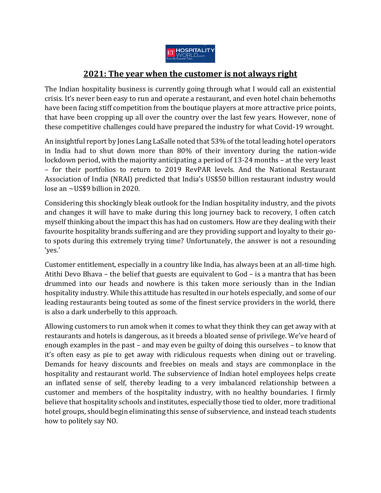

## **2021: The year when the customer is not always right**

The Indian hospitality business is currently going through what I would call an existential crisis. It's never been easy to run and operate a restaurant, and even hotel chain behemoths have been facing stiff competition from the boutique players at more attractive price points, that have been cropping up all over the country over the last few years. However, none of these competitive challenges could have prepared the industry for what Covid-19 wrought.

An insightful report by Jones Lang LaSalle noted that 53% of the total leading hotel operators in India had to shut down more than 80% of their inventory during the nation-wide lockdown period, with the majority anticipating a period of 13-24 months – at the very least – for their portfolios to return to 2019 RevPAR levels. And the National Restaurant Association of India (NRAI) predicted that India's US\$50 billion restaurant industry would lose an ~US\$9 billion in 2020.

Considering this shockingly bleak outlook for the Indian hospitality industry, and the pivots and changes it will have to make during this long journey back to recovery, I often catch myself thinking about the impact this has had on customers. How are they dealing with their favourite hospitality brands suffering and are they providing support and loyalty to their goto spots during this extremely trying time? Unfortunately, the answer is not a resounding 'yes.'

Customer entitlement, especially in a country like India, has always been at an all-time high. Atithi Devo Bhava – the belief that guests are equivalent to God – is a mantra that has been drummed into our heads and nowhere is this taken more seriously than in the Indian hospitality industry. While this attitude has resulted in our hotels especially, and some of our leading restaurants being touted as some of the finest service providers in the world, there is also a dark underbelly to this approach.

Allowing customers to run amok when it comes to what they think they can get away with at restaurants and hotels is dangerous, as it breeds a bloated sense of privilege. We've heard of enough examples in the past – and may even be guilty of doing this ourselves – to know that it's often easy as pie to get away with ridiculous requests when dining out or traveling. Demands for heavy discounts and freebies on meals and stays are commonplace in the hospitality and restaurant world. The subservience of Indian hotel employees helps create an inflated sense of self, thereby leading to a very imbalanced relationship between a customer and members of the hospitality industry, with no healthy boundaries. I firmly believe that hospitality schools and institutes, especially those tied to older, more traditional hotel groups, should begin eliminating this sense of subservience, and instead teach students how to politely say NO.